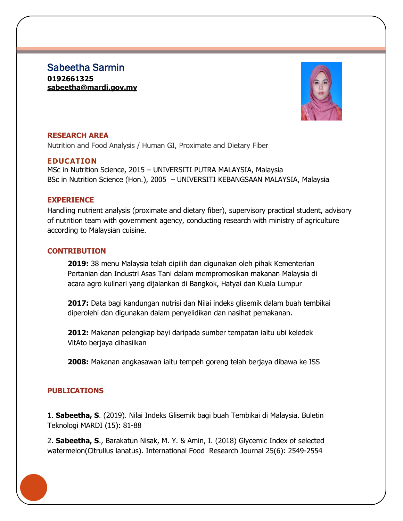Sabeetha Sarmin **0192661325 [sabeetha@mardi.gov.my](mailto:sabeetha@mardi.gov.my)**



# **RESEARCH AREA**

Nutrition and Food Analysis / Human GI, Proximate and Dietary Fiber

# **EDUCATION**

MSc in Nutrition Science, 2015 – UNIVERSITI PUTRA MALAYSIA, Malaysia BSc in Nutrition Science (Hon.), 2005 – UNIVERSITI KEBANGSAAN MALAYSIA, Malaysia

## **EXPERIENCE**

Handling nutrient analysis (proximate and dietary fiber), supervisory practical student, advisory of nutrition team with government agency, conducting research with ministry of agriculture according to Malaysian cuisine.

## **CONTRIBUTION**

**2019:** 38 menu Malaysia telah dipilih dan digunakan oleh pihak Kementerian Pertanian dan Industri Asas Tani dalam mempromosikan makanan Malaysia di acara agro kulinari yang dijalankan di Bangkok, Hatyai dan Kuala Lumpur

**2017:** Data bagi kandungan nutrisi dan Nilai indeks glisemik dalam buah tembikai diperolehi dan digunakan dalam penyelidikan dan nasihat pemakanan.

**2012:** Makanan pelengkap bayi daripada sumber tempatan iaitu ubi keledek VitAto berjaya dihasilkan

**2008:** Makanan angkasawan iaitu tempeh goreng telah berjaya dibawa ke ISS

## **PUBLICATIONS**

1. **Sabeetha, S**. (2019). Nilai Indeks Glisemik bagi buah Tembikai di Malaysia. Buletin Teknologi MARDI (15): 81-88

2. **Sabeetha, S**., Barakatun Nisak, M. Y. & Amin, I. (2018) Glycemic Index of selected watermelon(Citrullus lanatus). International Food Research Journal 25(6): 2549-2554